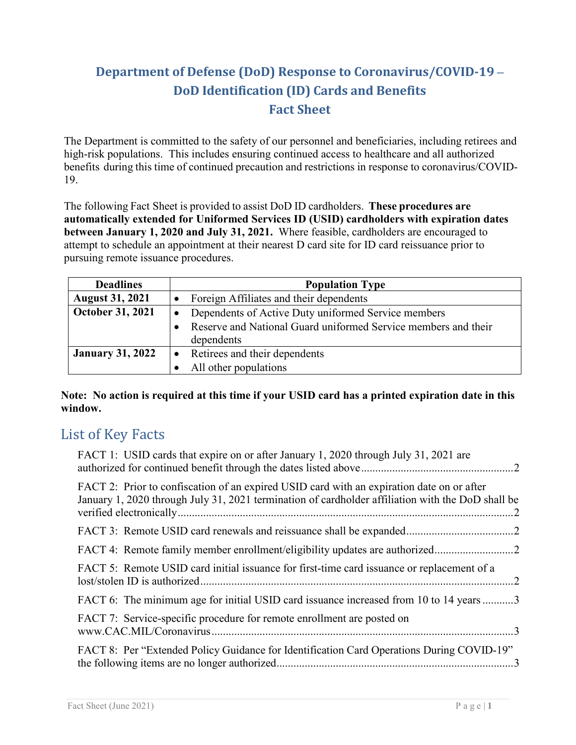# **Department of Defense (DoD) Response to Coronavirus/COVID-19 – DoD Identification (ID) Cards and Benefits Fact Sheet**

The Department is committed to the safety of our personnel and beneficiaries, including retirees and high-risk populations. This includes ensuring continued access to healthcare and all authorized benefits during this time of continued precaution and restrictions in response to coronavirus/COVID-19.

The following Fact Sheet is provided to assist DoD ID cardholders. **These procedures are automatically extended for Uniformed Services ID (USID) cardholders with expiration dates between January 1, 2020 and July 31, 2021.** Where feasible, cardholders are encouraged to attempt to schedule an appointment at their nearest D card site for ID card reissuance prior to pursuing remote issuance procedures.

| <b>Deadlines</b>        | <b>Population Type</b>                                         |  |
|-------------------------|----------------------------------------------------------------|--|
| <b>August 31, 2021</b>  | Foreign Affiliates and their dependents                        |  |
| October 31, 2021        | Dependents of Active Duty uniformed Service members            |  |
|                         | Reserve and National Guard uniformed Service members and their |  |
|                         | dependents                                                     |  |
| <b>January 31, 2022</b> | Retirees and their dependents                                  |  |
|                         | All other populations                                          |  |

### **Note: No action is required at this time if your USID card has a printed expiration date in this window.**

# List of Key Facts

| FACT 1: USID cards that expire on or after January 1, 2020 through July 31, 2021 are                                                                                                           |
|------------------------------------------------------------------------------------------------------------------------------------------------------------------------------------------------|
| FACT 2: Prior to confiscation of an expired USID card with an expiration date on or after<br>January 1, 2020 through July 31, 2021 termination of cardholder affiliation with the DoD shall be |
|                                                                                                                                                                                                |
|                                                                                                                                                                                                |
| FACT 5: Remote USID card initial issuance for first-time card issuance or replacement of a                                                                                                     |
| FACT 6: The minimum age for initial USID card issuance increased from 10 to 14 years3                                                                                                          |
| FACT 7: Service-specific procedure for remote enrollment are posted on                                                                                                                         |
| FACT 8: Per "Extended Policy Guidance for Identification Card Operations During COVID-19"                                                                                                      |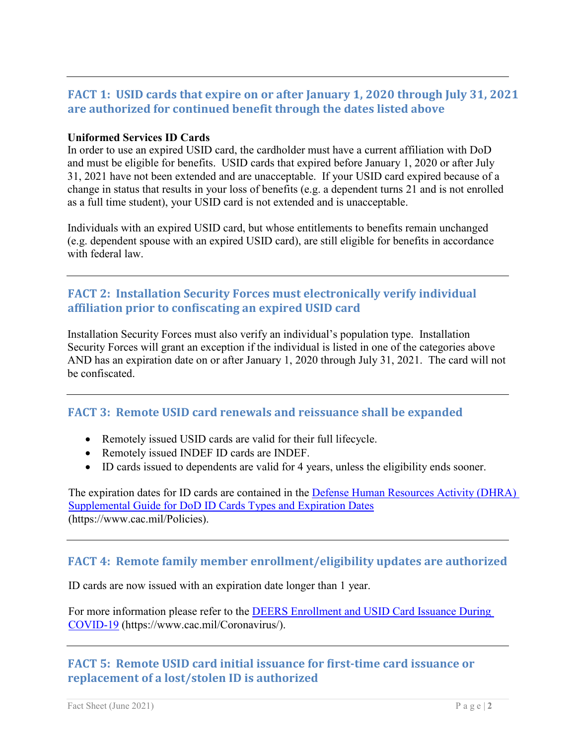# <span id="page-1-0"></span>**FACT 1: USID cards that expire on or after January 1, 2020 through July 31, 2021 are authorized for continued benefit through the dates listed above**

#### **Uniformed Services ID Cards**

In order to use an expired USID card, the cardholder must have a current affiliation with DoD and must be eligible for benefits. USID cards that expired before January 1, 2020 or after July 31, 2021 have not been extended and are unacceptable. If your USID card expired because of a change in status that results in your loss of benefits (e.g. a dependent turns 21 and is not enrolled as a full time student), your USID card is not extended and is unacceptable.

Individuals with an expired USID card, but whose entitlements to benefits remain unchanged (e.g. dependent spouse with an expired USID card), are still eligible for benefits in accordance with federal law.

### <span id="page-1-1"></span>**FACT 2: Installation Security Forces must electronically verify individual affiliation prior to confiscating an expired USID card**

Installation Security Forces must also verify an individual's population type. Installation Security Forces will grant an exception if the individual is listed in one of the categories above AND has an expiration date on or after January 1, 2020 through July 31, 2021. The card will not be confiscated.

# <span id="page-1-2"></span>**FACT 3: Remote USID card renewals and reissuance shall be expanded**

- Remotely issued USID cards are valid for their full lifecycle.
- Remotely issued INDEF ID cards are INDEF.
- ID cards issued to dependents are valid for 4 years, unless the eligibility ends sooner.

The expiration dates for ID cards are contained in the [Defense Human Resources Activity \(DHRA\)](https://www.cac.mil/Portals/53/Documents/DODI-1000.13_Supplement_ID_CARD.pdf)  [Supplemental Guide for DoD ID Cards Types and Expiration Dates](https://www.cac.mil/Portals/53/Documents/DODI-1000.13_Supplement_ID_CARD.pdf) (https://www.cac.mil/Policies).

# <span id="page-1-3"></span>**FACT 4: Remote family member enrollment/eligibility updates are authorized**

ID cards are now issued with an expiration date longer than 1 year.

For more information please refer to the [DEERS Enrollment and USID Card Issuance During](https://www.cac.mil/Portals/53/Documents/COVID-19%20Update%20on%20ID%20Cards%20and%20Benefits_cac_mil.pdf?ver=2020-09-17-133514-823)  [COVID-19](https://www.cac.mil/Portals/53/Documents/COVID-19%20Update%20on%20ID%20Cards%20and%20Benefits_cac_mil.pdf?ver=2020-09-17-133514-823) (https://www.cac.mil/Coronavirus/).

# <span id="page-1-4"></span>**FACT 5: Remote USID card initial issuance for first-time card issuance or replacement of a lost/stolen ID is authorized**